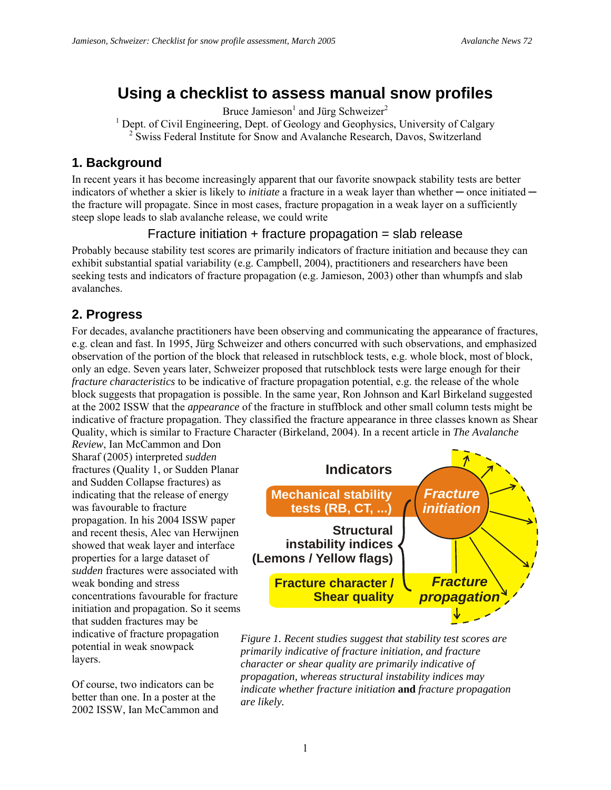# **Using a checklist to assess manual snow profiles**

Bruce Jamieson<sup>1</sup> and Jürg Schweizer<sup>2</sup>

<sup>1</sup> Dept. of Civil Engineering, Dept. of Geology and Geophysics, University of Calgary

<sup>2</sup> Swiss Federal Institute for Snow and Avalanche Research, Davos, Switzerland

#### **1. Background**

In recent years it has become increasingly apparent that our favorite snowpack stability tests are better indicators of whether a skier is likely to *initiate* a fracture in a weak layer than whether — once initiated the fracture will propagate. Since in most cases, fracture propagation in a weak layer on a sufficiently steep slope leads to slab avalanche release, we could write

#### Fracture initiation + fracture propagation = slab release

Probably because stability test scores are primarily indicators of fracture initiation and because they can exhibit substantial spatial variability (e.g. Campbell, 2004), practitioners and researchers have been seeking tests and indicators of fracture propagation (e.g. Jamieson, 2003) other than whumpfs and slab avalanches.

### **2. Progress**

For decades, avalanche practitioners have been observing and communicating the appearance of fractures, e.g. clean and fast. In 1995, Jürg Schweizer and others concurred with such observations, and emphasized observation of the portion of the block that released in rutschblock tests, e.g. whole block, most of block, only an edge. Seven years later, Schweizer proposed that rutschblock tests were large enough for their *fracture characteristics* to be indicative of fracture propagation potential, e.g. the release of the whole block suggests that propagation is possible. In the same year, Ron Johnson and Karl Birkeland suggested at the 2002 ISSW that the *appearance* of the fracture in stuffblock and other small column tests might be indicative of fracture propagation. They classified the fracture appearance in three classes known as Shear Quality, which is similar to Fracture Character (Birkeland, 2004). In a recent article in *The Avalanche* 

*Review*, Ian McCammon and Don Sharaf (2005) interpreted *sudden* fractures (Quality 1, or Sudden Planar and Sudden Collapse fractures) as indicating that the release of energy was favourable to fracture propagation. In his 2004 ISSW paper and recent thesis, Alec van Herwijnen showed that weak layer and interface properties for a large dataset of *sudden* fractures were associated with weak bonding and stress concentrations favourable for fracture initiation and propagation. So it seems that sudden fractures may be indicative of fracture propagation potential in weak snowpack layers.

Of course, two indicators can be better than one. In a poster at the 2002 ISSW, Ian McCammon and



*Figure 1. Recent studies suggest that stability test scores are primarily indicative of fracture initiation, and fracture character or shear quality are primarily indicative of propagation, whereas structural instability indices may indicate whether fracture initiation* **and** *fracture propagation are likely.*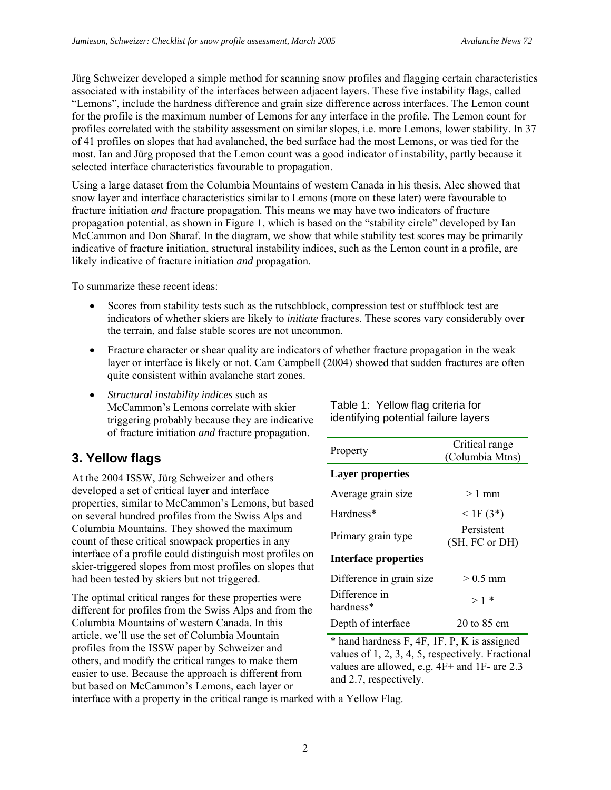Jürg Schweizer developed a simple method for scanning snow profiles and flagging certain characteristics associated with instability of the interfaces between adjacent layers. These five instability flags, called "Lemons", include the hardness difference and grain size difference across interfaces. The Lemon count for the profile is the maximum number of Lemons for any interface in the profile. The Lemon count for profiles correlated with the stability assessment on similar slopes, i.e. more Lemons, lower stability. In 37 of 41 profiles on slopes that had avalanched, the bed surface had the most Lemons, or was tied for the most. Ian and Jürg proposed that the Lemon count was a good indicator of instability, partly because it selected interface characteristics favourable to propagation.

Using a large dataset from the Columbia Mountains of western Canada in his thesis, Alec showed that snow layer and interface characteristics similar to Lemons (more on these later) were favourable to fracture initiation *and* fracture propagation. This means we may have two indicators of fracture propagation potential, as shown in Figure 1, which is based on the "stability circle" developed by Ian McCammon and Don Sharaf. In the diagram, we show that while stability test scores may be primarily indicative of fracture initiation, structural instability indices, such as the Lemon count in a profile, are likely indicative of fracture initiation *and* propagation.

To summarize these recent ideas:

- Scores from stability tests such as the rutschblock, compression test or stuffblock test are indicators of whether skiers are likely to *initiate* fractures. These scores vary considerably over the terrain, and false stable scores are not uncommon.
- Fracture character or shear quality are indicators of whether fracture propagation in the weak layer or interface is likely or not. Cam Campbell (2004) showed that sudden fractures are often quite consistent within avalanche start zones.
- *Structural instability indices* such as McCammon's Lemons correlate with skier triggering probably because they are indicative of fracture initiation *and* fracture propagation.

## **3. Yellow flags**

At the 2004 ISSW, Jürg Schweizer and others developed a set of critical layer and interface properties, similar to McCammon's Lemons, but based on several hundred profiles from the Swiss Alps and Columbia Mountains. They showed the maximum count of these critical snowpack properties in any interface of a profile could distinguish most profiles on skier-triggered slopes from most profiles on slopes that had been tested by skiers but not triggered.

The optimal critical ranges for these properties were different for profiles from the Swiss Alps and from the Columbia Mountains of western Canada. In this article, we'll use the set of Columbia Mountain profiles from the ISSW paper by Schweizer and others, and modify the critical ranges to make them easier to use. Because the approach is different from but based on McCammon's Lemons, each layer or

Table 1: Yellow flag criteria for identifying potential failure layers

| Property                    | Critical range  |  |
|-----------------------------|-----------------|--|
|                             | (Columbia Mtns) |  |
| <b>Layer properties</b>     |                 |  |
| Average grain size          | $>1$ mm         |  |
| Hardness*                   | $<$ 1F (3*)     |  |
| Primary grain type          | Persistent      |  |
|                             | (SH, FC or DH)  |  |
| <b>Interface properties</b> |                 |  |
| Difference in grain size    | $> 0.5$ mm      |  |
| Difference in               | $>1$ *          |  |
| hardness*                   |                 |  |
| Depth of interface          | 20 to 85 cm     |  |

\* hand hardness F, 4F, 1F, P, K is assigned values of 1, 2, 3, 4, 5, respectively. Fractional values are allowed, e.g. 4F+ and 1F- are 2.3 and 2.7, respectively.

interface with a property in the critical range is marked with a Yellow Flag.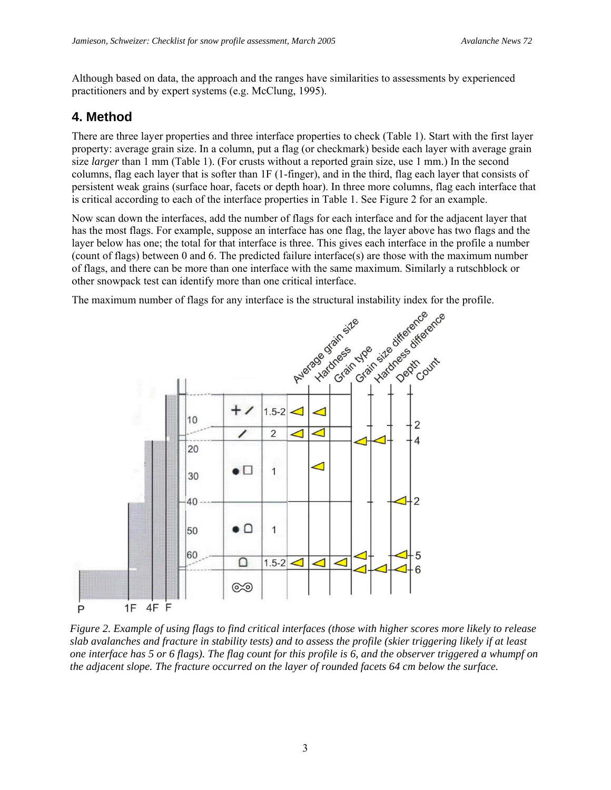Although based on data, the approach and the ranges have similarities to assessments by experienced practitioners and by expert systems (e.g. McClung, 1995).

#### **4. Method**

There are three layer properties and three interface properties to check (Table 1). Start with the first layer property: average grain size. In a column, put a flag (or checkmark) beside each layer with average grain size *larger* than 1 mm (Table 1). (For crusts without a reported grain size, use 1 mm.) In the second columns, flag each layer that is softer than 1F (1-finger), and in the third, flag each layer that consists of persistent weak grains (surface hoar, facets or depth hoar). In three more columns, flag each interface that is critical according to each of the interface properties in Table 1. See Figure 2 for an example.

Now scan down the interfaces, add the number of flags for each interface and for the adjacent layer that has the most flags. For example, suppose an interface has one flag, the layer above has two flags and the layer below has one; the total for that interface is three. This gives each interface in the profile a number (count of flags) between 0 and 6. The predicted failure interface(s) are those with the maximum number of flags, and there can be more than one interface with the same maximum. Similarly a rutschblock or other snowpack test can identify more than one critical interface.



*Figure 2. Example of using flags to find critical interfaces (those with higher scores more likely to release slab avalanches and fracture in stability tests) and to assess the profile (skier triggering likely if at least one interface has 5 or 6 flags). The flag count for this profile is 6, and the observer triggered a whumpf on the adjacent slope. The fracture occurred on the layer of rounded facets 64 cm below the surface.*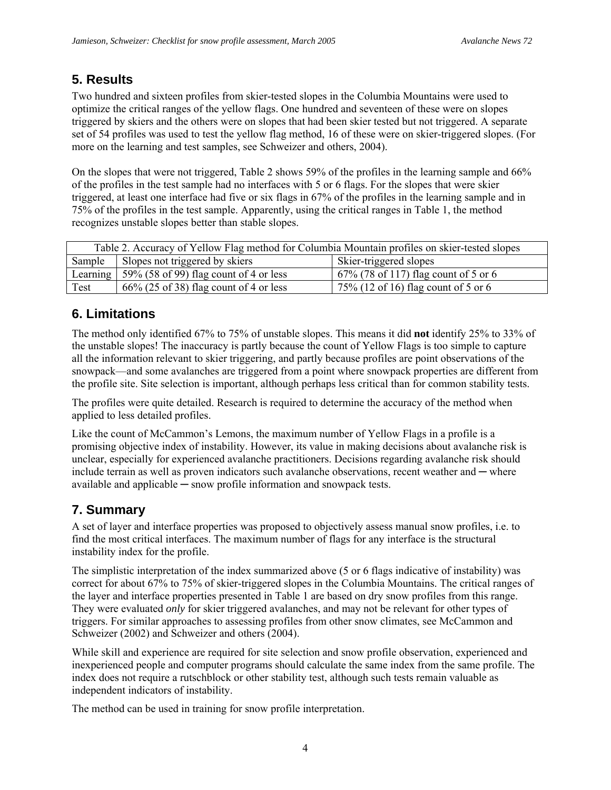#### **5. Results**

Two hundred and sixteen profiles from skier-tested slopes in the Columbia Mountains were used to optimize the critical ranges of the yellow flags. One hundred and seventeen of these were on slopes triggered by skiers and the others were on slopes that had been skier tested but not triggered. A separate set of 54 profiles was used to test the yellow flag method, 16 of these were on skier-triggered slopes. (For more on the learning and test samples, see Schweizer and others, 2004).

On the slopes that were not triggered, Table 2 shows 59% of the profiles in the learning sample and 66% of the profiles in the test sample had no interfaces with 5 or 6 flags. For the slopes that were skier triggered, at least one interface had five or six flags in 67% of the profiles in the learning sample and in 75% of the profiles in the test sample. Apparently, using the critical ranges in Table 1, the method recognizes unstable slopes better than stable slopes.

| Table 2. Accuracy of Yellow Flag method for Columbia Mountain profiles on skier-tested slopes |                                                               |                                                    |
|-----------------------------------------------------------------------------------------------|---------------------------------------------------------------|----------------------------------------------------|
| Sample                                                                                        | Slopes not triggered by skiers                                | Skier-triggered slopes                             |
|                                                                                               | Learning $\frac{1}{2}$ 59% (58 of 99) flag count of 4 or less | $\frac{1}{2}$ 67% (78 of 117) flag count of 5 or 6 |
| Test                                                                                          | $66\%$ (25 of 38) flag count of 4 or less                     | 75% (12 of 16) flag count of 5 or 6                |

### **6. Limitations**

The method only identified 67% to 75% of unstable slopes. This means it did **not** identify 25% to 33% of the unstable slopes! The inaccuracy is partly because the count of Yellow Flags is too simple to capture all the information relevant to skier triggering, and partly because profiles are point observations of the snowpack—and some avalanches are triggered from a point where snowpack properties are different from the profile site. Site selection is important, although perhaps less critical than for common stability tests.

The profiles were quite detailed. Research is required to determine the accuracy of the method when applied to less detailed profiles.

Like the count of McCammon's Lemons, the maximum number of Yellow Flags in a profile is a promising objective index of instability. However, its value in making decisions about avalanche risk is unclear, especially for experienced avalanche practitioners. Decisions regarding avalanche risk should include terrain as well as proven indicators such avalanche observations, recent weather and — where available and applicable ─ snow profile information and snowpack tests.

## **7. Summary**

A set of layer and interface properties was proposed to objectively assess manual snow profiles, i.e. to find the most critical interfaces. The maximum number of flags for any interface is the structural instability index for the profile.

The simplistic interpretation of the index summarized above (5 or 6 flags indicative of instability) was correct for about 67% to 75% of skier-triggered slopes in the Columbia Mountains. The critical ranges of the layer and interface properties presented in Table 1 are based on dry snow profiles from this range. They were evaluated *only* for skier triggered avalanches, and may not be relevant for other types of triggers. For similar approaches to assessing profiles from other snow climates, see McCammon and Schweizer (2002) and Schweizer and others (2004).

While skill and experience are required for site selection and snow profile observation, experienced and inexperienced people and computer programs should calculate the same index from the same profile. The index does not require a rutschblock or other stability test, although such tests remain valuable as independent indicators of instability.

The method can be used in training for snow profile interpretation.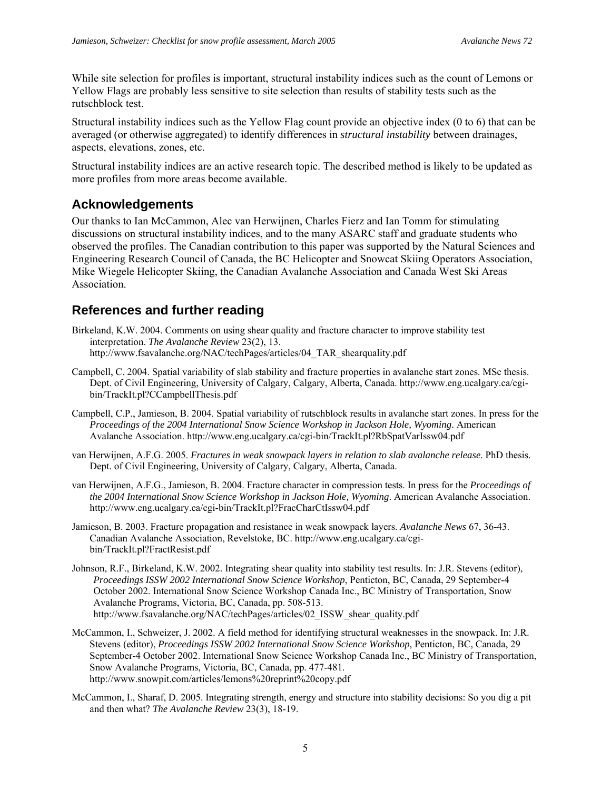While site selection for profiles is important, structural instability indices such as the count of Lemons or Yellow Flags are probably less sensitive to site selection than results of stability tests such as the rutschblock test.

Structural instability indices such as the Yellow Flag count provide an objective index (0 to 6) that can be averaged (or otherwise aggregated) to identify differences in *structural instability* between drainages, aspects, elevations, zones, etc.

Structural instability indices are an active research topic. The described method is likely to be updated as more profiles from more areas become available.

#### **Acknowledgements**

Our thanks to Ian McCammon, Alec van Herwijnen, Charles Fierz and Ian Tomm for stimulating discussions on structural instability indices, and to the many ASARC staff and graduate students who observed the profiles. The Canadian contribution to this paper was supported by the Natural Sciences and Engineering Research Council of Canada, the BC Helicopter and Snowcat Skiing Operators Association, Mike Wiegele Helicopter Skiing, the Canadian Avalanche Association and Canada West Ski Areas Association.

#### **References and further reading**

- Birkeland, K.W. 2004. Comments on using shear quality and fracture character to improve stability test interpretation. *The Avalanche Review* 23(2), 13. http://www.fsavalanche.org/NAC/techPages/articles/04\_TAR\_shearquality.pdf
- Campbell, C. 2004. [Spatial variability of slab stability and fracture properties in avalanche start zones.](http://www.eng.ucalgary.ca/cgi-bin/TrackIt.pl?CCampbellThesis.pdf) MSc thesis. Dept. of Civil Engineering, University of Calgary, Calgary, Alberta, Canada. http://www.eng.ucalgary.ca/cgibin/TrackIt.pl?CCampbellThesis.pdf
- Campbell, C.P., Jamieson, B. 2004. [Spatial variability of rutschblock results in avalanche start zones.](http://www.eng.ucalgary.ca/cgi-bin/TrackIt.pl?RbSpatVarIssw04.pdf) In press for the *Proceedings of the 2004 International Snow Science Workshop in Jackson Hole, Wyoming*. American Avalanche Association. http://www.eng.ucalgary.ca/cgi-bin/TrackIt.pl?RbSpatVarIssw04.pdf
- van Herwijnen, A.F.G. 2005. *Fractures in weak snowpack layers in relation to slab avalanche release*. PhD thesis. Dept. of Civil Engineering, University of Calgary, Calgary, Alberta, Canada.
- van Herwijnen, A.F.G., Jamieson, B. 2004. [Fracture character in compression tests.](http://www.eng.ucalgary.ca/cgi-bin/TrackIt.pl?FracCharCtIssw04.pdf) In press for the *Proceedings of the 2004 International Snow Science Workshop in Jackson Hole, Wyoming*. American Avalanche Association. http://www.eng.ucalgary.ca/cgi-bin/TrackIt.pl?FracCharCtIssw04.pdf
- Jamieson, B. 2003. [Fracture propagation and resistance in weak snowpack layers](http://www.eng.ucalgary.ca/cgi-bin/TrackIt.pl?FractResist.pdf). *Avalanche News* 67, 36-43. Canadian Avalanche Association, Revelstoke, BC. http://www.eng.ucalgary.ca/cgibin/TrackIt.pl?FractResist.pdf
- Johnson, R.F., Birkeland, K.W. 2002. Integrating shear quality into stability test results. In: J.R. Stevens (editor), *Proceedings ISSW 2002 International Snow Science Workshop*, Penticton, BC, Canada, 29 September-4 October 2002. International Snow Science Workshop Canada Inc., BC Ministry of Transportation, Snow Avalanche Programs, Victoria, BC, Canada, pp. 508-513. http://www.fsavalanche.org/NAC/techPages/articles/02\_ISSW\_shear\_quality.pdf
- McCammon, I., Schweizer, J. 2002. A field method for identifying structural weaknesses in the snowpack. In: J.R. Stevens (editor), *Proceedings ISSW 2002 International Snow Science Workshop*, Penticton, BC, Canada, 29 September-4 October 2002. International Snow Science Workshop Canada Inc., BC Ministry of Transportation, Snow Avalanche Programs, Victoria, BC, Canada, pp. 477-481. http://www.snowpit.com/articles/lemons%20reprint%20copy.pdf
- McCammon, I., Sharaf, D. 2005. Integrating strength, energy and structure into stability decisions: So you dig a pit and then what? *The Avalanche Review* 23(3), 18-19.